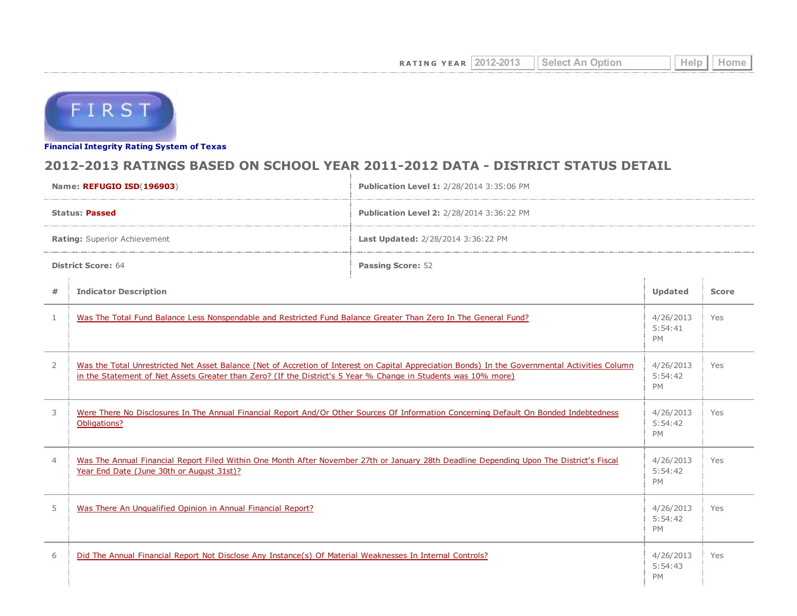

Financial [Integrity](http://tea4avwaylon.tea.state.tx.us/First/forms/main.aspx) Rating System of Texas

## 2012-2013 RATINGS BASED ON SCHOOL YEAR 2011-2012 DATA - DISTRICT STATUS DETAIL

| Name: REFUGIO ISD(196903)    |                                                                                                                                                                                                                                                                   | Publication Level 1: 2/28/2014 3:35:06 PM |              |     |  |  |
|------------------------------|-------------------------------------------------------------------------------------------------------------------------------------------------------------------------------------------------------------------------------------------------------------------|-------------------------------------------|--------------|-----|--|--|
| <b>Status: Passed</b>        |                                                                                                                                                                                                                                                                   | Publication Level 2: 2/28/2014 3:36:22 PM |              |     |  |  |
| Rating: Superior Achievement |                                                                                                                                                                                                                                                                   | Last Updated: 2/28/2014 3:36:22 PM        |              |     |  |  |
| <b>District Score: 64</b>    |                                                                                                                                                                                                                                                                   | <b>Passing Score: 52</b>                  |              |     |  |  |
| #                            | <b>Indicator Description</b>                                                                                                                                                                                                                                      | Updated                                   | <b>Score</b> |     |  |  |
| $\mathbf{1}$                 | Was The Total Fund Balance Less Nonspendable and Restricted Fund Balance Greater Than Zero In The General Fund?                                                                                                                                                   |                                           |              | Yes |  |  |
| $\overline{2}$               | Was the Total Unrestricted Net Asset Balance (Net of Accretion of Interest on Capital Appreciation Bonds) In the Governmental Activities Column<br>in the Statement of Net Assets Greater than Zero? (If the District's 5 Year % Change in Students was 10% more) |                                           |              | Yes |  |  |
| 3                            | Were There No Disclosures In The Annual Financial Report And/Or Other Sources Of Information Concerning Default On Bonded Indebtedness<br>Obligations?                                                                                                            |                                           |              | Yes |  |  |
| $\overline{4}$               | Was The Annual Financial Report Filed Within One Month After November 27th or January 28th Deadline Depending Upon The District's Fiscal<br>Year End Date (June 30th or August 31st)?                                                                             |                                           |              | Yes |  |  |
| 5                            | Was There An Ungualified Opinion in Annual Financial Report?                                                                                                                                                                                                      |                                           |              | Yes |  |  |
| 6                            | Did The Annual Financial Report Not Disclose Any Instance(s) Of Material Weaknesses In Internal Controls?                                                                                                                                                         |                                           |              | Yes |  |  |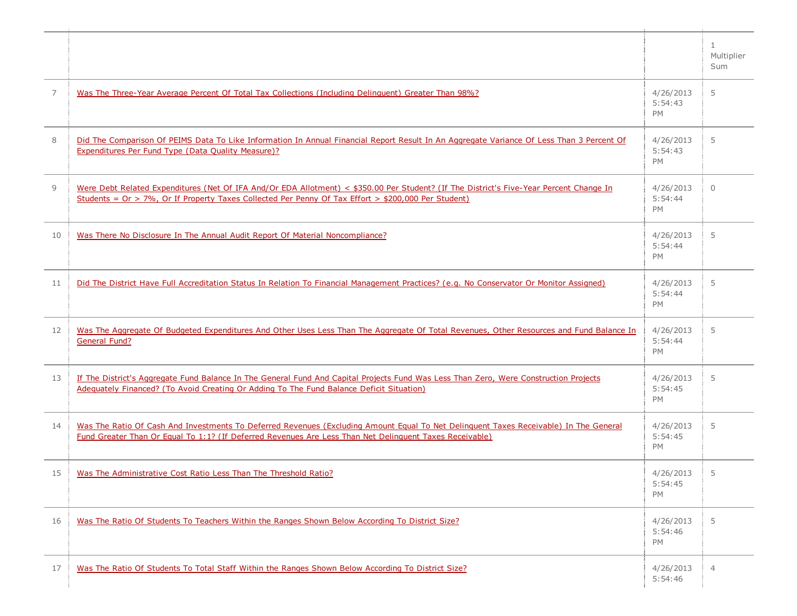|    |                                                                                                                                                                                                                                                  |                                   | $\mathbf{1}$<br>Multiplier<br>Sum |
|----|--------------------------------------------------------------------------------------------------------------------------------------------------------------------------------------------------------------------------------------------------|-----------------------------------|-----------------------------------|
| 7  | Was The Three-Year Average Percent Of Total Tax Collections (Including Delinguent) Greater Than 98%?                                                                                                                                             | 4/26/2013<br>5:54:43<br><b>PM</b> | 5                                 |
| 8  | Did The Comparison Of PEIMS Data To Like Information In Annual Financial Report Result In An Aggregate Variance Of Less Than 3 Percent Of<br><b>Expenditures Per Fund Type (Data Quality Measure)?</b>                                           | 4/26/2013<br>5:54:43<br>PM        | 5                                 |
| 9  | Were Debt Related Expenditures (Net Of IFA And/Or EDA Allotment) < \$350.00 Per Student? (If The District's Five-Year Percent Change In<br>Students = Or > 7%, Or If Property Taxes Collected Per Penny Of Tax Effort > \$200,000 Per Student)   | 4/26/2013<br>5:54:44<br><b>PM</b> | $\Omega$                          |
| 10 | Was There No Disclosure In The Annual Audit Report Of Material Noncompliance?                                                                                                                                                                    | 4/26/2013<br>5:54:44<br>PM        | 5                                 |
| 11 | Did The District Have Full Accreditation Status In Relation To Financial Management Practices? (e.g. No Conservator Or Monitor Assigned)                                                                                                         | 4/26/2013<br>5:54:44<br>PM        | 5                                 |
| 12 | Was The Aggregate Of Budgeted Expenditures And Other Uses Less Than The Aggregate Of Total Revenues, Other Resources and Fund Balance In<br>General Fund?                                                                                        | 4/26/2013<br>5:54:44<br>PM        | 5                                 |
| 13 | If The District's Aggregate Fund Balance In The General Fund And Capital Projects Fund Was Less Than Zero, Were Construction Projects<br>Adequately Financed? (To Avoid Creating Or Adding To The Fund Balance Deficit Situation)                | 4/26/2013<br>5:54:45<br>PM        | 5                                 |
| 14 | Was The Ratio Of Cash And Investments To Deferred Revenues (Excluding Amount Equal To Net Delinquent Taxes Receivable) In The General<br>Fund Greater Than Or Equal To 1:1? (If Deferred Revenues Are Less Than Net Delinquent Taxes Receivable) | 4/26/2013<br>5:54:45<br>PM        | 5                                 |
| 15 | Was The Administrative Cost Ratio Less Than The Threshold Ratio?                                                                                                                                                                                 | 4/26/2013<br>5:54:45<br>PM        | 5                                 |
| 16 | Was The Ratio Of Students To Teachers Within the Ranges Shown Below According To District Size?                                                                                                                                                  | 4/26/2013<br>5:54:46<br>PM        | 5                                 |
| 17 | Was The Ratio Of Students To Total Staff Within the Ranges Shown Below According To District Size?                                                                                                                                               | 4/26/2013<br>5:54:46              | 4                                 |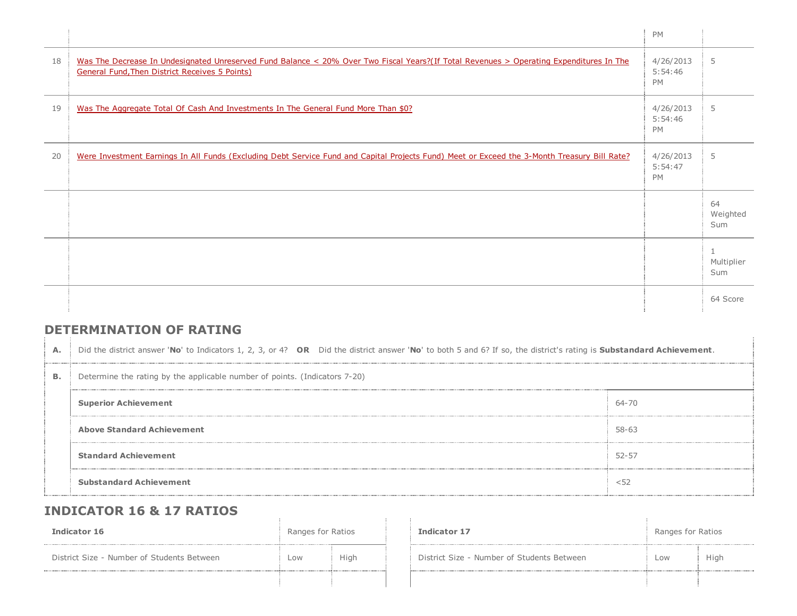|    |                                                                                                                                                                                                  | PM                                |                                   |
|----|--------------------------------------------------------------------------------------------------------------------------------------------------------------------------------------------------|-----------------------------------|-----------------------------------|
| 18 | Was The Decrease In Undesignated Unreserved Fund Balance < 20% Over Two Fiscal Years?(If Total Revenues > Operating Expenditures In The<br><b>General Fund, Then District Receives 5 Points)</b> | 4/26/2013<br>5:54:46<br>PM        | 5                                 |
| 19 | Was The Aggregate Total Of Cash And Investments In The General Fund More Than \$0?                                                                                                               | 4/26/2013<br>5:54:46<br><b>PM</b> | 5                                 |
| 20 | Were Investment Earnings In All Funds (Excluding Debt Service Fund and Capital Projects Fund) Meet or Exceed the 3-Month Treasury Bill Rate?                                                     | 4/26/2013<br>5:54:47<br><b>PM</b> | 5                                 |
|    |                                                                                                                                                                                                  |                                   | 64<br>Weighted<br>Sum             |
|    |                                                                                                                                                                                                  |                                   | $\mathbf{1}$<br>Multiplier<br>Sum |
|    |                                                                                                                                                                                                  |                                   | 64 Score                          |

## DETERMINATION OF RATING

| A.        | Did the district answer 'No' to Indicators 1, 2, 3, or 4? OR Did the district answer 'No' to both 5 and 6? If so, the district's rating is Substandard Achievement. |           |  |  |  |  |  |
|-----------|---------------------------------------------------------------------------------------------------------------------------------------------------------------------|-----------|--|--|--|--|--|
| <b>B.</b> | Determine the rating by the applicable number of points. (Indicators 7-20)                                                                                          |           |  |  |  |  |  |
|           | <b>Superior Achievement</b>                                                                                                                                         | 64-70     |  |  |  |  |  |
|           | <b>Above Standard Achievement</b>                                                                                                                                   | 58-63     |  |  |  |  |  |
|           | <b>Standard Achievement</b>                                                                                                                                         | $52 - 57$ |  |  |  |  |  |
|           | <b>Substandard Achievement</b>                                                                                                                                      | < 52      |  |  |  |  |  |

## INDICATOR 16 & 17 RATIOS

| Indicator 16                               | Ranges for Ratios |             | <b>Indicator 17</b>                        | Ranges for Ratios |      |
|--------------------------------------------|-------------------|-------------|--------------------------------------------|-------------------|------|
| District Size - Number of Students Between | Low               | <b>High</b> | District Size - Number of Students Between | LOW               | High |
|                                            |                   |             |                                            |                   |      |

 $\alpha$ 

| Indicator 17                               | Ranges for Ratios |      |  |
|--------------------------------------------|-------------------|------|--|
| District Size - Number of Students Between | l ow              | High |  |
|                                            |                   |      |  |